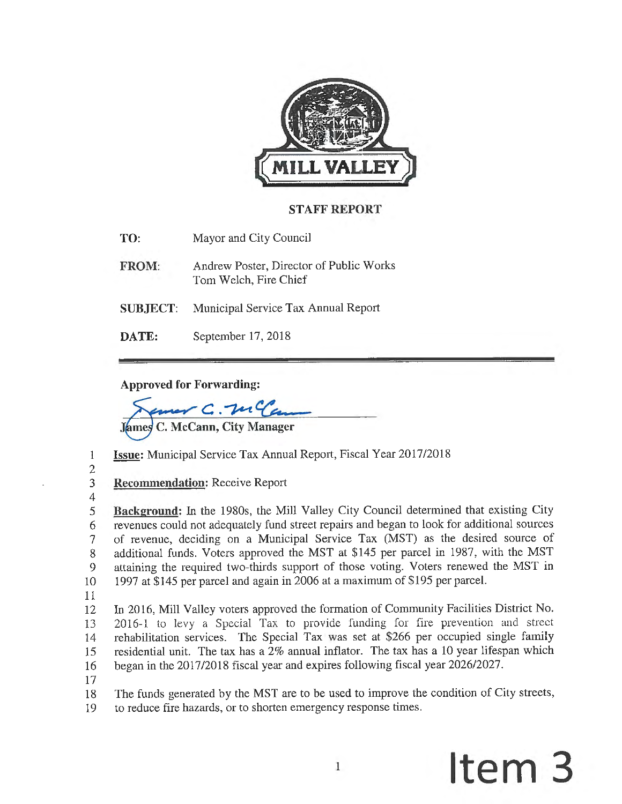

# **STAFF REPORT**

**TO:** Mayor and City Council

- **FROM:** Andrew Poster, Director of Public Works Tom Welch, Fire Chief
- **SUBJECT:** Municipal Service Tax Annual Report
- **DATE:** September 17, 2018

# **Approved for Forwarding:**

 $C.$   $\mathcal{W}$   $\mathcal{C}$ 

**C. McCann, City Manager** 

- 1 **Issue:** Municipal Service Tax Annual Report, Fiscal Year 2017/2018
- 2

4

3 **Recommendation:** Receive Report

- 5 **Background:** In the 1980s, the Mill Valley City Council determined that existing City 6 revenues could not adequately fund street repairs and began to look for additional sources 7 of revenue, deciding on a Municipal Service Tax (MST) as the desired source of 8 additional funds. Voters approved the MST at \$145 per parcel in 1987, with the MST 9 attaining the required two-thirds support of those voting. Voters renewed the MST in 10 1997 at \$145 per parcel and again in 2006 at a maximum of \$195 per parcel.
- 11

12 In 2016, Mill Valley voters approved the formation of Community Facilities District No. 13 2016-1 to levy a Special Tax to provide funding for fire prevention and street 14 rehabilitation services. The Special Tax was set at \$266 per occupied single family 15 residential unit. The tax has a 2% annual inflator. The tax has a 10 year lifespan which 16 began in the 2017/2018 fiscal year and expires following fiscal year 2026/2027.

17

18 The funds generated by the MST are to be used to improve the condition of City streets, 19 to reduce fire hazards, or to shorten emergency response times.

# 1 **Item 3**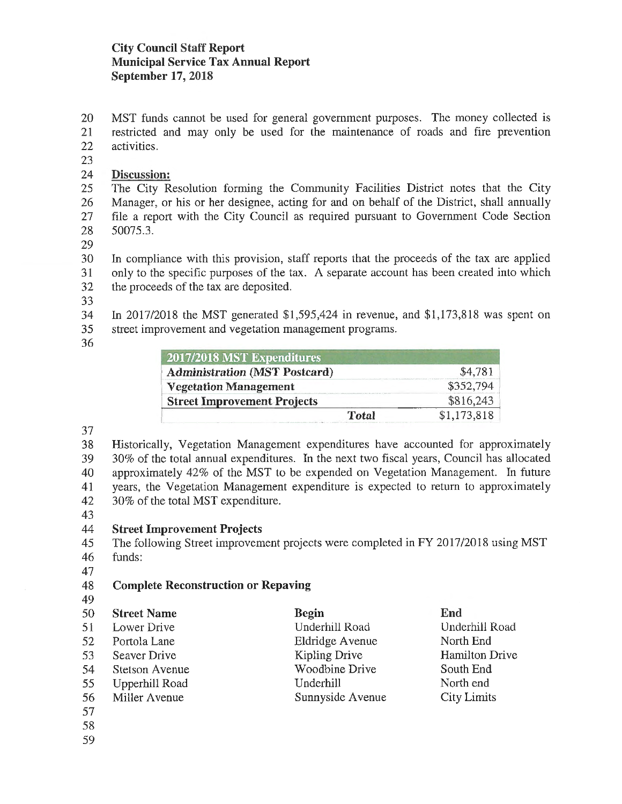20 MST funds cannot be used for general government purposes. The money collected is 21 restricted and may only be used for the maintenance of roads and fire prevention 22 activities.

23

# 24 **Discussion:**

25 The City Resolution forming the Community Facilities District notes that the City 26 Manager, or his or her designee, acting for and on behalf of the District, shall annually 27 file a report with the City Council as required pursuant to Government Code Section 28 50075.3.

29

30 In compliance with this provision, staff reports that the proceeds of the tax are applied 31 only to the specific purposes of the tax. A separate account has been created into which 32 the proceeds of the tax are deposited.

33

34 In 2017/2018 the MST generated \$1,595,424 in revenue, and \$1,173,818 was spent on 35 street improvement and vegetation management programs.

36

| 2017/2018 MST Expenditures           |             |
|--------------------------------------|-------------|
| <b>Administration (MST Postcard)</b> | \$4,781     |
| <b>Vegetation Management</b>         | \$352,794   |
| <b>Street Improvement Projects</b>   | \$816,243   |
| <b>Total</b>                         | \$1,173,818 |

37

38 Historically, Vegetation Management expenditures have accounted for approximately 39 30% of the total annual expenditures. In the next two fiscal years, Council has allocated 40 approximately 42% of the MST to be expended on Vegetation Management. In future 41 years, the Vegetation Management expenditure is expected to return to approximately 42 30% of the total MST expenditure.

43

# 44 **Street Improvement Projects**

45 The following Street improvement projects were completed in FY 2017/2018 using MST 46 funds:

47

#### 48 **Complete Reconstruction or Repaving**   $40<sup>9</sup>$

| 47 |                    |                  |                    |
|----|--------------------|------------------|--------------------|
| 50 | <b>Street Name</b> | <b>Begin</b>     | End                |
| 51 | Lower Drive        | Underhill Road   | Underhill Road     |
| 52 | Portola Lane       | Eldridge Avenue  | North End          |
| 53 | Seaver Drive       | Kipling Drive    | Hamilton Drive     |
| 54 | Stetson Avenue     | Woodbine Drive   | South End          |
| 55 | Upperhill Road     | Underhill        | North end          |
| 56 | Miller Avenue      | Sunnyside Avenue | <b>City Limits</b> |
| 57 |                    |                  |                    |
| 58 |                    |                  |                    |

59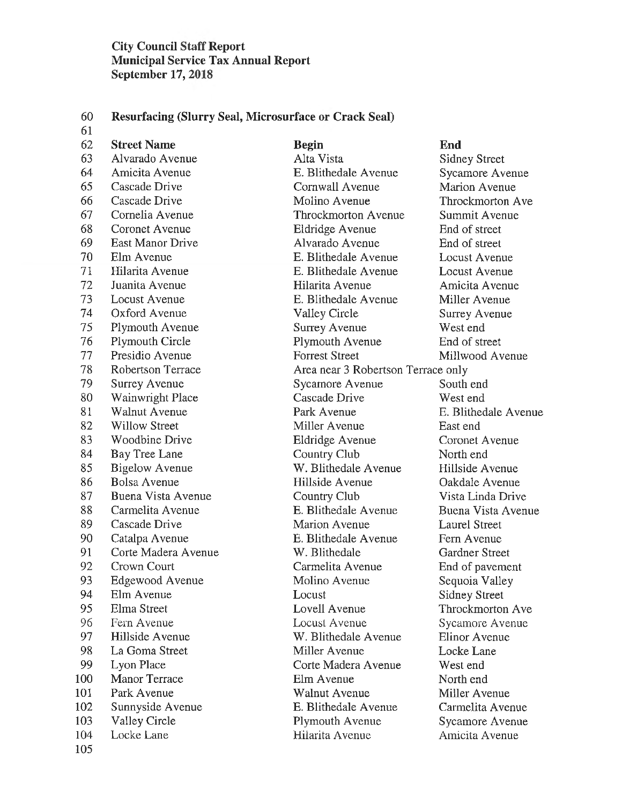60 **Resurfacing (Slurry Seal, Microsurface or Crack Seal)** 

61 62 **Street Name Begin End**  105

63 Alvarado Avenue Alta Vista Sidney Street 64 Amicita Avenue E. Blithedale Avenue Sycamore Avenue 65 Cascade Drive Cornwall A venue Marion A venue 66 Cascade Drive Molino A venue Throckmorton Ave 67 Cornelia A venue Throckmorton A venue Summit A venue 68 Coronet A venue Eldridge A venue End of street 69 East Manor Drive Alvarado Avenue End of street 70 Elm Avenue E. Blithedale A venue Locust A venue 71 Hilarita A venue E. Blithedale A venue Locust A venue 72 Juanita Avenue Hilarita A venue Amicita A venue 73 Locust A venue E. Blithedale A venue Miller A venue 74 Oxford A venue Valley Circle Surrey A venue 75 Plymouth Avenue Surrey Avenue West end 76 Plymouth Circle Plymouth A venue End of street 77 Presidio Avenue Forrest Street Millwood Avenue 78 Robertson Terrace Area near 3 Robertson Terrace only 79 Surrey Avenue Sycamore Avenue South end 80 Wainwright Place Cascade Drive West end 81 Walnut Avenue Park Avenue E. Blithedale A venue 82 Willow Street **Miller Avenue** East end 83 Woodbine Drive Eldridge A venue Coronet A venue 84 Bay Tree Lane Country Club North end 85 Bigelow Avenue W. Blithedale Avenue Hillside Avenue 86 Bolsa Avenue **Hillside Avenue** Oakdale Avenue 87 Buena Vista Avenue Country Club Vista Linda Drive 88 Carmelita Avenue **E. Blithedale Avenue** Buena Vista Avenue 89 Cascade Drive Marion A venue Laurel Street 90 Catalpa Avenue E. Blithedale A venue Fern Avenue 91 Corte Madera A venue W. Blithedale Gardner Street 92 Crown Court Carmelita A venue End of pavement 93 Edgewood Avenue Molino Avenue Sequoia Valley 94 Elm Avenue Locust Sidney Street 95 Elma Street Lovell Avenue Throckmorton Ave 96 Fern Avenue Locust A venue Sycamore Avenue 97 Hillside A venue W. Blithedale A venue Elinor A venue 98 La Goma Street **Miller Avenue** Locke Lane 99 Lyon Place Corte Madera A venue West end 100 Manor Terrace Elm Avenue North end 101 Park Avenue Walnut A venue Miller A venue 102 Sunnyside A venue E. Blithedale A venue Carmelita A venue 103 Valley Circle Plymouth Avenue Sycamore Avenue 104 Locke Lane Hilarita A venue *Amicita* A venue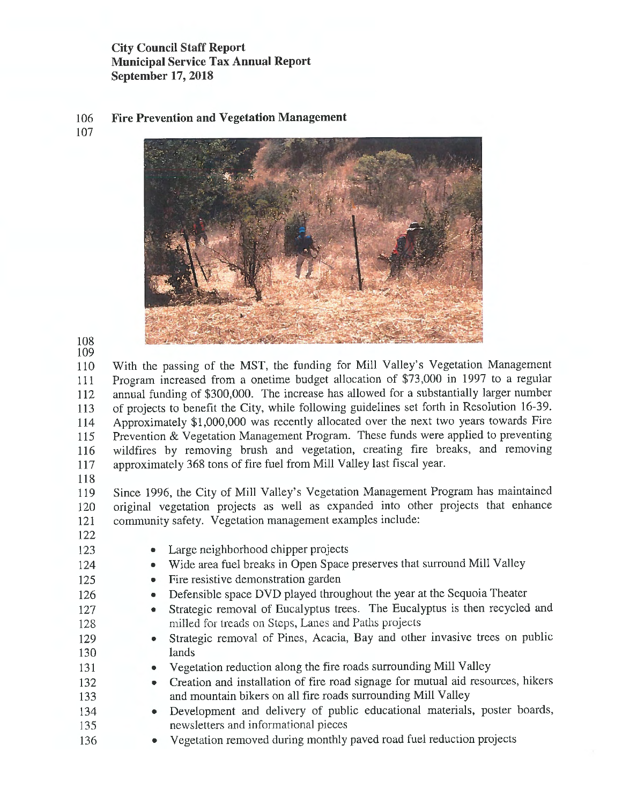106 **Fire Prevention and Vegetation Management**  107



108 109

110 With the passing of the MST, the funding for Mill Valley's Vegetation Management 111 Program increased from a onetime budget allocation of \$73,000 in 1997 to a regular 112 annual funding of \$300,000. The increase has allowed for a substantially larger number 113 of projects to benefit the City, while following guidelines set forth in Resolution 16-39. 114 Approximately \$1,000,000 was recently allocated over the next two years towards Fire 115 Prevention & Vegetation Management Program. These funds were applied to preventing 116 wildfires by removing brush and vegetation, creating fire breaks, and removing 117 approximately 368 tons of fire fuel from Mill Valley last fiscal year.

118

119 Since 1996, the City of Mill Valley's Vegetation Management Program has maintained 120 original vegetation projects as well as expanded into other projects that enhance 121 community safety. Vegetation management examples include:

- 122
- 123
- 124 125

136

- Large neighborhood chipper projects
- Wide area fuel breaks in Open Space preserves that surround Mill Valley
- Fire resistive demonstration garden
	- Defensible space DVD played throughout the year at the Sequoia Theater
	- Strategic removal of Eucalyptus trees. The Eucalyptus is then recycled and milled for treads on Steps, Lanes and Paths projects
	- Strategic removal of Pines, Acacia, Bay and other invasive trees on public lands
	- Vegetation reduction along the fire roads surrounding Mill Valley
- 132 133 • Creation and installation of fire road signage for mutual aid resources, hikers and mountain bikers on all fire roads surrounding **Mill** Valley
- 134 135 • Development and delivery of public educational materials, poster boards, newsletters and informational pieces
	- Vegetation removed during monthly paved road fuel reduction projects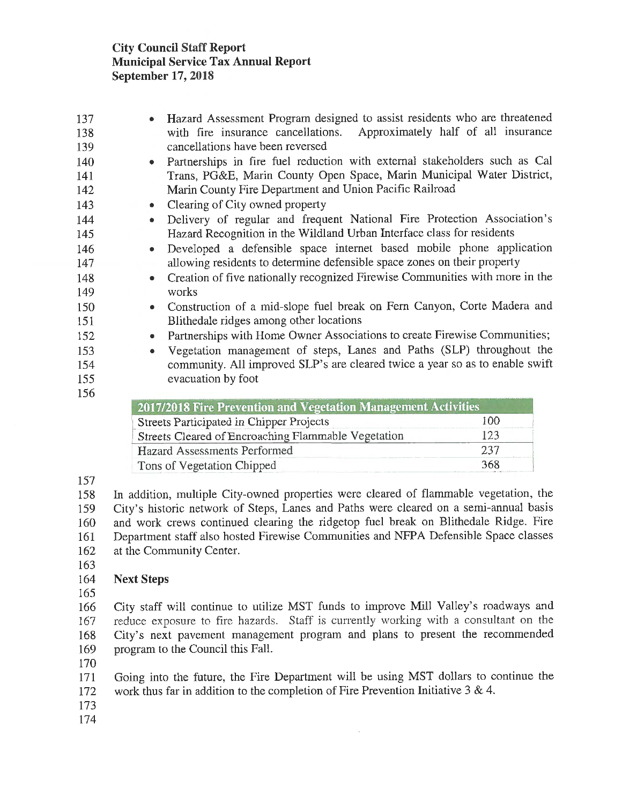| 137 |           | Hazard Assessment Program designed to assist residents who are threatened    |
|-----|-----------|------------------------------------------------------------------------------|
| 138 |           | with fire insurance cancellations. Approximately half of all insurance       |
| 139 |           | cancellations have been reversed                                             |
| 140 | $\bullet$ | Partnerships in fire fuel reduction with external stakeholders such as Cal   |
| 141 |           | Trans, PG&E, Marin County Open Space, Marin Municipal Water District,        |
| 142 |           | Marin County Fire Department and Union Pacific Railroad                      |
| 143 | $\bullet$ | Clearing of City owned property                                              |
| 144 | $\bullet$ | Delivery of regular and frequent National Fire Protection Association's      |
| 145 |           | Hazard Recognition in the Wildland Urban Interface class for residents       |
| 146 | $\bullet$ | Developed a defensible space internet based mobile phone application         |
| 147 |           | allowing residents to determine defensible space zones on their property     |
| 148 | $\bullet$ | Creation of five nationally recognized Firewise Communities with more in the |
| 149 |           | works                                                                        |
| 150 | $\bullet$ | Construction of a mid-slope fuel break on Fern Canyon, Corte Madera and      |
| 151 |           | Blithedale ridges among other locations                                      |
| 152 | $\bullet$ | Partnerships with Home Owner Associations to create Firewise Communities;    |
| 153 | $\bullet$ | Vegetation management of steps, Lanes and Paths (SLP) throughout the         |
| 154 |           | community. All improved SLP's are cleared twice a year so as to enable swift |
| 155 |           | evacuation by foot                                                           |
| 156 |           |                                                                              |
|     |           | 2017/2018 Fire Prevention and Vegetation Management Activities               |

| 2017/2018 Fire Prevention and Vegetation Management Activities |     |
|----------------------------------------------------------------|-----|
| Streets Participated in Chipper Projects                       | 100 |
| Streets Cleared of Encroaching Flammable Vegetation            | -23 |
| Hazard Assessments Performed                                   | 237 |
| Tons of Vegetation Chipped                                     | 368 |

157

158 In addition, multiple City-owned properties were cleared of flammable vegetation, the 159 City's historic network of Steps, Lanes and Paths were cleared on a semi-annual basis 160 and work crews continued clearing the ridgetop fuel break on Blithedale Ridge. Fire 161 Department staff also hosted Firewise Communities and NFPA Defensible Space classes 162 at the Community Center.

163

#### 164 **Next Steps**

165

166 City staff will continue to utilize MST funds to improve **Mill** Valley's roadways and 167 reduce exposure to fire hazards. Staff is currently working with a consultant on the 168 City's next pavement management program and plans to present the recommended 169 program to the Council this Fall.

170

171 Going into the future, the Fire Department will be using MST dollars to continue the 172 work thus far in addition to the completion of Fire Prevention Initiative 3 & 4.

- 173
- 174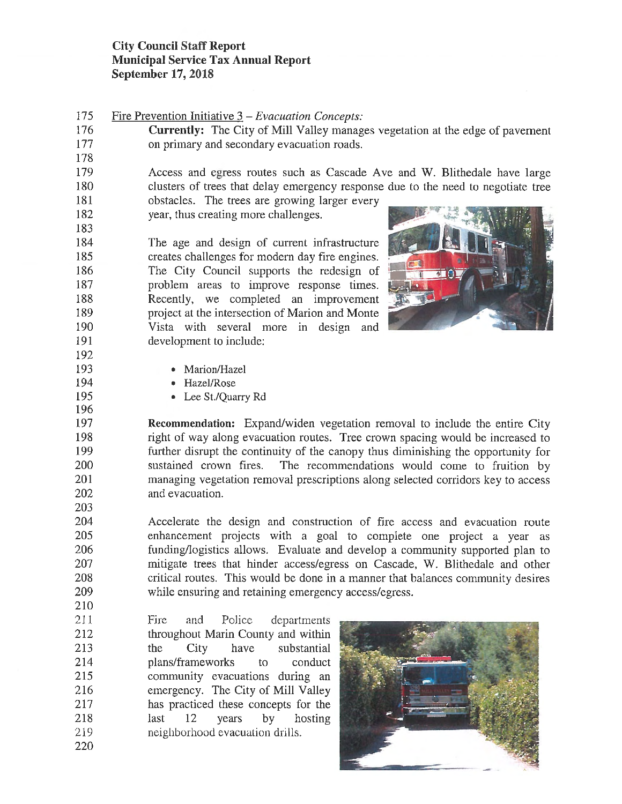175 Fire Prevention Initiative 3 - *Evacuation Concepts:* 

178

183

192

196

203

210

176 **Currently:** The City of Mill Valley manages vegetation at the edge of pavement 177 on primary and secondary evacuation roads.

179 Access and egress routes such as Cascade Ave and W. Blithedale have large 180 clusters of trees that delay emergency response due to the need to negotiate tree

181 obstacles. The trees are growing larger every 182 year, thus creating more challenges.

184 The age and design of current infrastructure 185 creates challenges for modern day fire engines. 186 The City Council supports the redesign of 187 problem areas to improve response times. 188 Recently, we completed an improvement 189 project at the intersection of Marion and Monte 190 Vista with several more in design and 191 development to include:



- 193 Marion/Hazel
- 194 Hazel/Rose
- 195 Lee St./Quarry Rd

197 **Recommendation:** Expand/widen vegetation removal to include the entire City 198 right of way along evacuation routes. Tree crown spacing would be increased to 199 further disrupt the continuity of the canopy thus diminishing the opportunity for 200 sustained crown fires. The recommendations would come to fruition by 201 managing vegetation removal prescriptions along selected corridors key to access 202 and evacuation.

204 Accelerate the design and construction of fire access and evacuation route 205 enhancement projects with a goal to complete one project a year as 206 funding/logistics allows. Evaluate and develop a community supported plan to 207 mitigate trees that hinder access/egress on Cascade, W. Blithedale and other 208 critical routes. This would be done in a manner that balances community desires 209 while ensuring and retaining emergency access/egress.

211 212 213 214 215 216 217 218 219 220 Fire and Police departments throughout Marin County and within the City have substantial plans/frameworks to conduct community evacuations during an emergency. The City of Mill Valley has practiced these concepts for the last 12 years by hosting neighborhood evacuation drills.